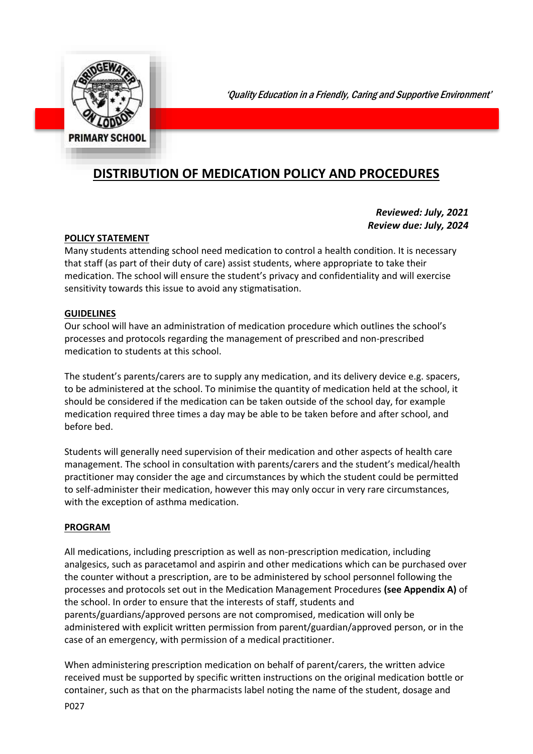

'Quality Education in a Friendly, Caring and Supportive Environment'

# **DISTRIBUTION OF MEDICATION POLICY AND PROCEDURES**

#### *Reviewed: July, 2021 Review due: July, 2024*

#### **POLICY STATEMENT**

Many students attending school need medication to control a health condition. It is necessary that staff (as part of their duty of care) assist students, where appropriate to take their medication. The school will ensure the student's privacy and confidentiality and will exercise sensitivity towards this issue to avoid any stigmatisation.

#### **GUIDELINES**

Our school will have an administration of medication procedure which outlines the school's processes and protocols regarding the management of prescribed and non-prescribed medication to students at this school.

The student's parents/carers are to supply any medication, and its delivery device e.g. spacers, to be administered at the school. To minimise the quantity of medication held at the school, it should be considered if the medication can be taken outside of the school day, for example medication required three times a day may be able to be taken before and after school, and before bed.

Students will generally need supervision of their medication and other aspects of health care management. The school in consultation with parents/carers and the student's medical/health practitioner may consider the age and circumstances by which the student could be permitted to self-administer their medication, however this may only occur in very rare circumstances, with the exception of asthma medication.

#### **PROGRAM**

All medications, including prescription as well as non-prescription medication, including analgesics, such as paracetamol and aspirin and other medications which can be purchased over the counter without a prescription, are to be administered by school personnel following the processes and protocols set out in the Medication Management Procedures **(see Appendix A)** of the school. In order to ensure that the interests of staff, students and parents/guardians/approved persons are not compromised, medication will only be administered with explicit written permission from parent/guardian/approved person, or in the case of an emergency, with permission of a medical practitioner.

When administering prescription medication on behalf of parent/carers, the written advice received must be supported by specific written instructions on the original medication bottle or container, such as that on the pharmacists label noting the name of the student, dosage and

P027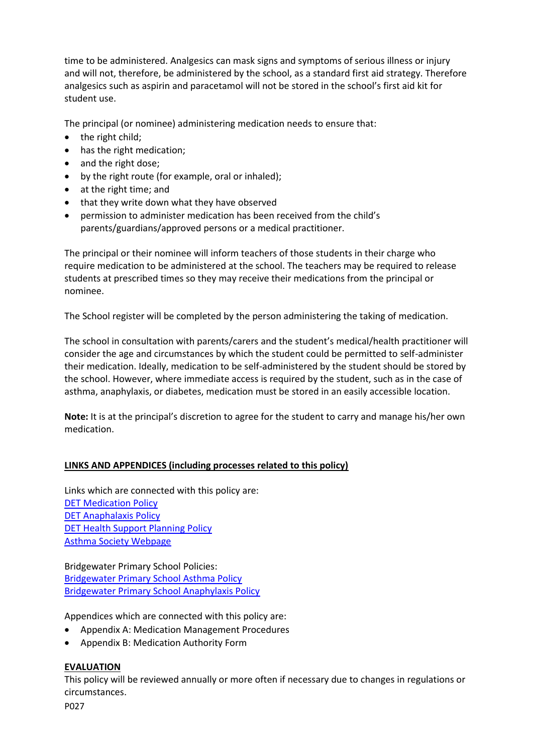time to be administered. Analgesics can mask signs and symptoms of serious illness or injury and will not, therefore, be administered by the school, as a standard first aid strategy. Therefore analgesics such as aspirin and paracetamol will not be stored in the school's first aid kit for student use.

The principal (or nominee) administering medication needs to ensure that:

- $\bullet$  the right child;
- has the right medication;
- and the right dose;
- by the right route (for example, oral or inhaled);
- at the right time; and
- that they write down what they have observed
- permission to administer medication has been received from the child's parents/guardians/approved persons or a medical practitioner.

The principal or their nominee will inform teachers of those students in their charge who require medication to be administered at the school. The teachers may be required to release students at prescribed times so they may receive their medications from the principal or nominee.

The School register will be completed by the person administering the taking of medication.

The school in consultation with parents/carers and the student's medical/health practitioner will consider the age and circumstances by which the student could be permitted to self-administer their medication. Ideally, medication to be self-administered by the student should be stored by the school. However, where immediate access is required by the student, such as in the case of asthma, anaphylaxis, or diabetes, medication must be stored in an easily accessible location.

**Note:** It is at the principal's discretion to agree for the student to carry and manage his/her own medication.

#### **LINKS AND APPENDICES (including processes related to this policy)**

Links which are connected with this policy are: DET [Medication Policy](http://www.education.vic.gov.au/school/principals/spag/health/pages/medication.aspx#mainContent) DET [Anaphalaxis Policy](http://www.education.vic.gov.au/school/principals/spag/health/pages/anaphylaxis.aspx#mainContent) DET [Health Support Planning Policy](http://www.education.vic.gov.au/school/principals/spag/health/Pages/supportplanning.aspx) [Asthma Society Webpage](http://www.asthma.org.au/)

Bridgewater Primary School Policies: [Bridgewater Primary School Asthma Policy](P011%20Asthma%20Management%20Policy.docx) [Bridgewater Primary School Anaphylaxis Policy](P012%20Anaphylaxis%20Policy.docx)

Appendices which are connected with this policy are:

- Appendix A: Medication Management Procedures
- Appendix B: Medication Authority Form

#### **EVALUATION**

This policy will be reviewed annually or more often if necessary due to changes in regulations or circumstances.

P027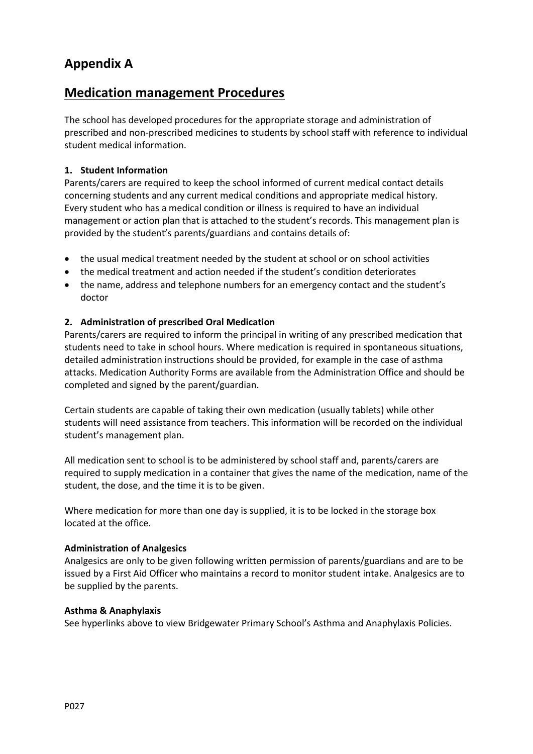# **Appendix A**

## **Medication management Procedures**

The school has developed procedures for the appropriate storage and administration of prescribed and non-prescribed medicines to students by school staff with reference to individual student medical information.

#### **1. Student Information**

Parents/carers are required to keep the school informed of current medical contact details concerning students and any current medical conditions and appropriate medical history. Every student who has a medical condition or illness is required to have an individual management or action plan that is attached to the student's records. This management plan is provided by the student's parents/guardians and contains details of:

- the usual medical treatment needed by the student at school or on school activities
- the medical treatment and action needed if the student's condition deteriorates
- the name, address and telephone numbers for an emergency contact and the student's doctor

#### **2. Administration of prescribed Oral Medication**

Parents/carers are required to inform the principal in writing of any prescribed medication that students need to take in school hours. Where medication is required in spontaneous situations, detailed administration instructions should be provided, for example in the case of asthma attacks. Medication Authority Forms are available from the Administration Office and should be completed and signed by the parent/guardian.

Certain students are capable of taking their own medication (usually tablets) while other students will need assistance from teachers. This information will be recorded on the individual student's management plan.

All medication sent to school is to be administered by school staff and, parents/carers are required to supply medication in a container that gives the name of the medication, name of the student, the dose, and the time it is to be given.

Where medication for more than one day is supplied, it is to be locked in the storage box located at the office.

#### **Administration of Analgesics**

Analgesics are only to be given following written permission of parents/guardians and are to be issued by a First Aid Officer who maintains a record to monitor student intake. Analgesics are to be supplied by the parents.

#### **Asthma & Anaphylaxis**

See hyperlinks above to view Bridgewater Primary School's Asthma and Anaphylaxis Policies.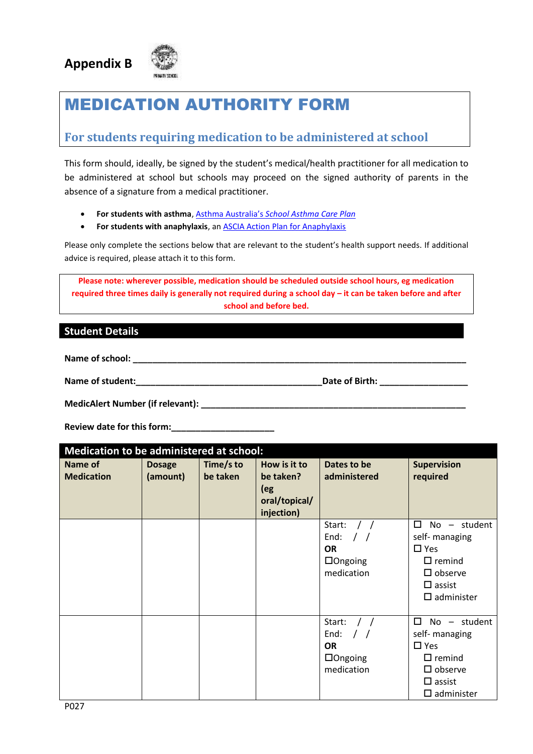



# MEDICATION AUTHORITY FORM

### **For students requiring medication to be administered at school**

This form should, ideally, be signed by the student's medical/health practitioner for all medication to be administered at school but schools may proceed on the signed authority of parents in the absence of a signature from a medical practitioner.

- **For students with asthma**, Asthma Australia's *[School Asthma Care Plan](https://www.asthmaaustralia.org.au/vic/about-asthma/resources)*
- **•** For students with anaphylaxis, an **ASCIA Action Plan for Anaphylaxis**

Please only complete the sections below that are relevant to the student's health support needs. If additional advice is required, please attach it to this form.

**Please note: wherever possible, medication should be scheduled outside school hours, eg medication required three times daily is generally not required during a school day – it can be taken before and after school and before bed.**

#### **Student Details**

Name of school: **We also see also see also see also see also see also see also see also see also see also see a** 

**Name of student:**<br> **Name of student:** <br> **Date of Birth:** <br> **Date of Birth:** <br> **Date of Birth:** <br> **Date of Birth:** <br> **Date of Birth:** <br> **Date of Birth:** <br> **Date of Birth:** <br> **Date of Birth:** <br> **Date of Birth:** <br> **Date of B** 

**MedicAlert Number (if relevant):**  $\blacksquare$ 

Review date for this form:

| Medication to be administered at school: |                           |                       |                                                                 |                                                                           |                                                                                                                                       |  |
|------------------------------------------|---------------------------|-----------------------|-----------------------------------------------------------------|---------------------------------------------------------------------------|---------------------------------------------------------------------------------------------------------------------------------------|--|
| <b>Name of</b><br><b>Medication</b>      | <b>Dosage</b><br>(amount) | Time/s to<br>be taken | How is it to<br>be taken?<br>(eg<br>oral/topical/<br>injection) | Dates to be<br>administered                                               | <b>Supervision</b><br>required                                                                                                        |  |
|                                          |                           |                       |                                                                 | Start:<br>End:<br><b>OR</b><br>$\Box$ Ongoing<br>medication               | п<br>- student<br>No<br>self- managing<br>$\Box$ Yes<br>$\Box$ remind<br>$\square$ observe<br>$\Box$ assist<br>$\square$ administer   |  |
|                                          |                           |                       |                                                                 | Start:<br>End:<br>$\prime$ /<br><b>OR</b><br>$\Box$ Ongoing<br>medication | П<br>$No - student$<br>self- managing<br>$\Box$ Yes<br>$\Box$ remind<br>$\square$ observe<br>$\square$ assist<br>$\square$ administer |  |